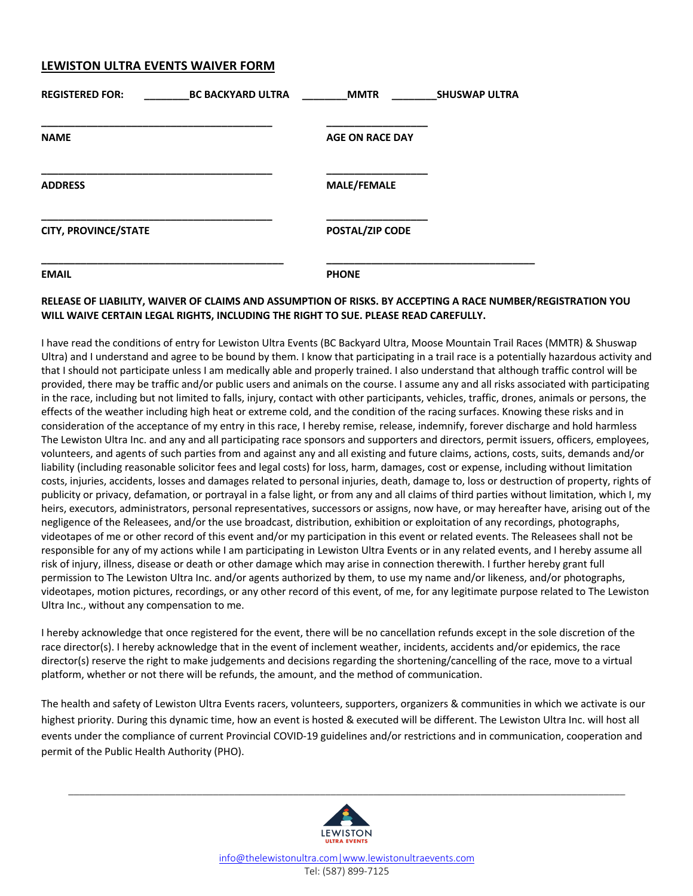## **LEWISTON ULTRA EVENTS WAIVER FORM**

| <b>REGISTERED FOR:</b><br><b>BC BACKYARD ULTRA</b> | <b>MMTR</b>            | <b>SHUSWAP ULTRA</b> |
|----------------------------------------------------|------------------------|----------------------|
| <b>NAME</b>                                        | <b>AGE ON RACE DAY</b> |                      |
| <b>ADDRESS</b>                                     | <b>MALE/FEMALE</b>     |                      |
| <b>CITY, PROVINCE/STATE</b>                        | POSTAL/ZIP CODE        |                      |
| <b>EMAIL</b>                                       | <b>PHONE</b>           |                      |

## **RELEASE OF LIABILITY, WAIVER OF CLAIMS AND ASSUMPTION OF RISKS. BY ACCEPTING A RACE NUMBER/REGISTRATION YOU WILL WAIVE CERTAIN LEGAL RIGHTS, INCLUDING THE RIGHT TO SUE. PLEASE READ CAREFULLY.**

I have read the conditions of entry for Lewiston Ultra Events (BC Backyard Ultra, Moose Mountain Trail Races (MMTR) & Shuswap Ultra) and I understand and agree to be bound by them. I know that participating in a trail race is a potentially hazardous activity and that I should not participate unless I am medically able and properly trained. I also understand that although traffic control will be provided, there may be traffic and/or public users and animals on the course. I assume any and all risks associated with participating in the race, including but not limited to falls, injury, contact with other participants, vehicles, traffic, drones, animals or persons, the effects of the weather including high heat or extreme cold, and the condition of the racing surfaces. Knowing these risks and in consideration of the acceptance of my entry in this race, I hereby remise, release, indemnify, forever discharge and hold harmless The Lewiston Ultra Inc. and any and all participating race sponsors and supporters and directors, permit issuers, officers, employees, volunteers, and agents of such parties from and against any and all existing and future claims, actions, costs, suits, demands and/or liability (including reasonable solicitor fees and legal costs) for loss, harm, damages, cost or expense, including without limitation costs, injuries, accidents, losses and damages related to personal injuries, death, damage to, loss or destruction of property, rights of publicity or privacy, defamation, or portrayal in a false light, or from any and all claims of third parties without limitation, which I, my heirs, executors, administrators, personal representatives, successors or assigns, now have, or may hereafter have, arising out of the negligence of the Releasees, and/or the use broadcast, distribution, exhibition or exploitation of any recordings, photographs, videotapes of me or other record of this event and/or my participation in this event or related events. The Releasees shall not be responsible for any of my actions while I am participating in Lewiston Ultra Events or in any related events, and I hereby assume all risk of injury, illness, disease or death or other damage which may arise in connection therewith. I further hereby grant full permission to The Lewiston Ultra Inc. and/or agents authorized by them, to use my name and/or likeness, and/or photographs, videotapes, motion pictures, recordings, or any other record of this event, of me, for any legitimate purpose related to The Lewiston Ultra Inc., without any compensation to me.

I hereby acknowledge that once registered for the event, there will be no cancellation refunds except in the sole discretion of the race director(s). I hereby acknowledge that in the event of inclement weather, incidents, accidents and/or epidemics, the race director(s) reserve the right to make judgements and decisions regarding the shortening/cancelling of the race, move to a virtual platform, whether or not there will be refunds, the amount, and the method of communication.

The health and safety of Lewiston Ultra Events racers, volunteers, supporters, organizers & communities in which we activate is our highest priority. During this dynamic time, how an event is hosted & executed will be different. The Lewiston Ultra Inc. will host all events under the compliance of current Provincial COVID-19 guidelines and/or restrictions and in communication, cooperation and permit of the Public Health Authority (PHO).



\_\_\_\_\_\_\_\_\_\_\_\_\_\_\_\_\_\_\_\_\_\_\_\_\_\_\_\_\_\_\_\_\_\_\_\_\_\_\_\_\_\_\_\_\_\_\_\_\_\_\_\_\_\_\_\_\_\_\_\_\_\_\_\_\_\_\_\_\_\_\_\_\_\_\_\_\_\_\_\_\_\_\_\_\_\_\_\_\_\_\_\_\_\_\_\_\_\_\_\_\_\_\_\_